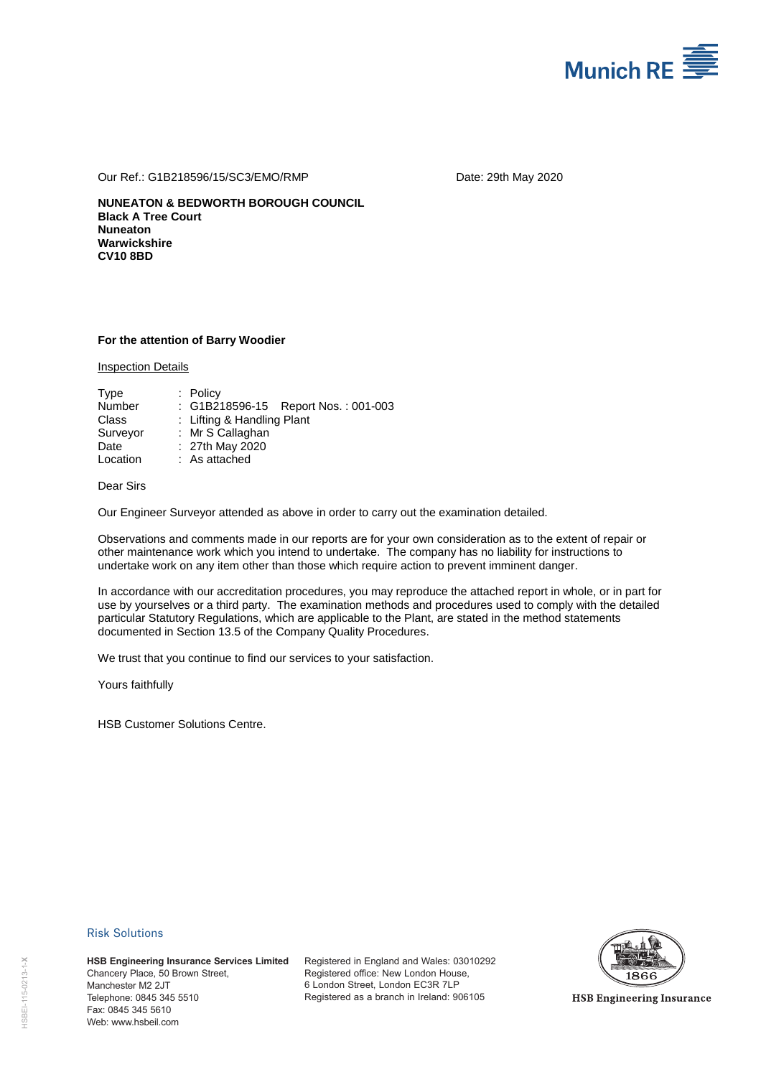

Our Ref.: G1B218596/15/SC3/EMO/RMP Date: 29th May 2020

**NUNEATON & BEDWORTH BOROUGH COUNCIL Black A Tree Court Nuneaton Warwickshire CV10 8BD** 

#### **For the attention of Barry Woodier**

Inspection Details

| Type     | $:$ Policy                          |
|----------|-------------------------------------|
| Number   | : G1B218596-15 Report Nos.: 001-003 |
| Class    | : Lifting & Handling Plant          |
| Surveyor | : Mr S Callaghan                    |
| Date     | $: 27th$ May 2020                   |
| Location | : As attached                       |

Dear Sirs

Our Engineer Surveyor attended as above in order to carry out the examination detailed.

Observations and comments made in our reports are for your own consideration as to the extent of repair or other maintenance work which you intend to undertake. The company has no liability for instructions to undertake work on any item other than those which require action to prevent imminent danger.

In accordance with our accreditation procedures, you may reproduce the attached report in whole, or in part for use by yourselves or a third party. The examination methods and procedures used to comply with the detailed particular Statutory Regulations, which are applicable to the Plant, are stated in the method statements documented in Section 13.5 of the Company Quality Procedures.

We trust that you continue to find our services to your satisfaction.

Yours faithfully

HSB Customer Solutions Centre.

#### Risk Solutions

**HSB Engineering Insurance Services Limited** Chancery Place, 50 Brown Street, Manchester M2 2JT Telephone: 0845 345 5510 Fax: 0845 345 5610 **HSB Engineering Ins<br>
Chancery Place, 50 B<br>
Manchester M2 2JT<br>
Telephone: 0845 345 345<br>
Fax: 0845 345 5610<br>
Web: www.hsbeil.com** 

Registered in England and Wales: 03010292 Registered office: New London House, 6 London Street, London EC3R 7LP Registered as a branch in Ireland: 906105



**HSB Engineering Insurance**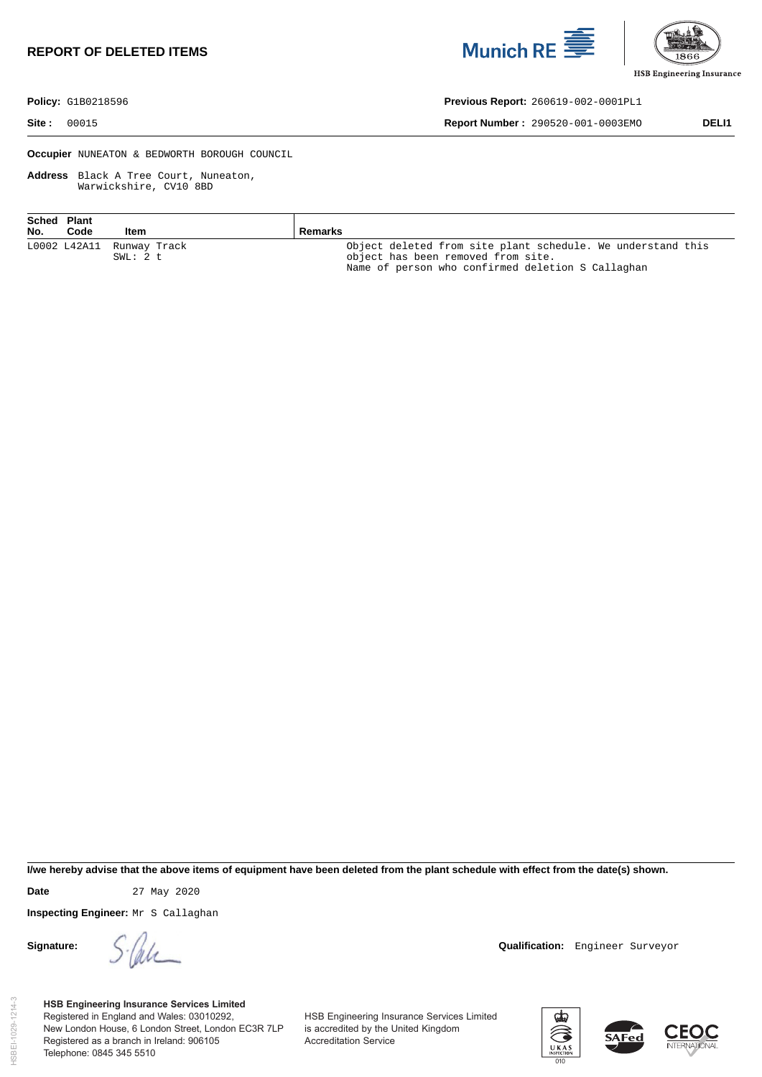# **REPORT OF DELETED ITEMS**





**Policy:** G1B0218596 **Previous Report:** 260619-002-0001PL1

**Site :** 00015 **Report Number :** 290520-001-0003EMO **DELI1** 

**Occupier** NUNEATON & BEDWORTH BOROUGH COUNCIL

**Address** Black A Tree Court, Nuneaton, Warwickshire, CV10 8BD

| Sched Plant<br>No. | Code | Item                      | Remarks                                                     |
|--------------------|------|---------------------------|-------------------------------------------------------------|
|                    |      | L0002 L42A11 Runway Track | Object deleted from site plant schedule. We understand this |
|                    |      | SWL: 2 t                  | object has been removed from site.                          |
|                    |      |                           | Name of person who confirmed deletion S Callaghan           |

**I/we hereby advise that the above items of equipment have been deleted from the plant schedule with effect from the date(s) shown.** 

**Date** 27 May 2020

**Inspecting Engineer:** Mr S Callaghan

**Signature:**  $\int \frac{f}{\sqrt{2\pi}} f(x) dx$  **Qualification:** Engineer Surveyor

**HSB Engineering Insurance Services Limited** Registered in England and Wales: 03010292, New London House, 6 London Street, London EC3R 7LP Registered as a branch in Ireland: 906105 Telephone: 0845 345 5510

HSB Engineering Insurance Services Limited is accredited by the United Kingdom Accreditation Service



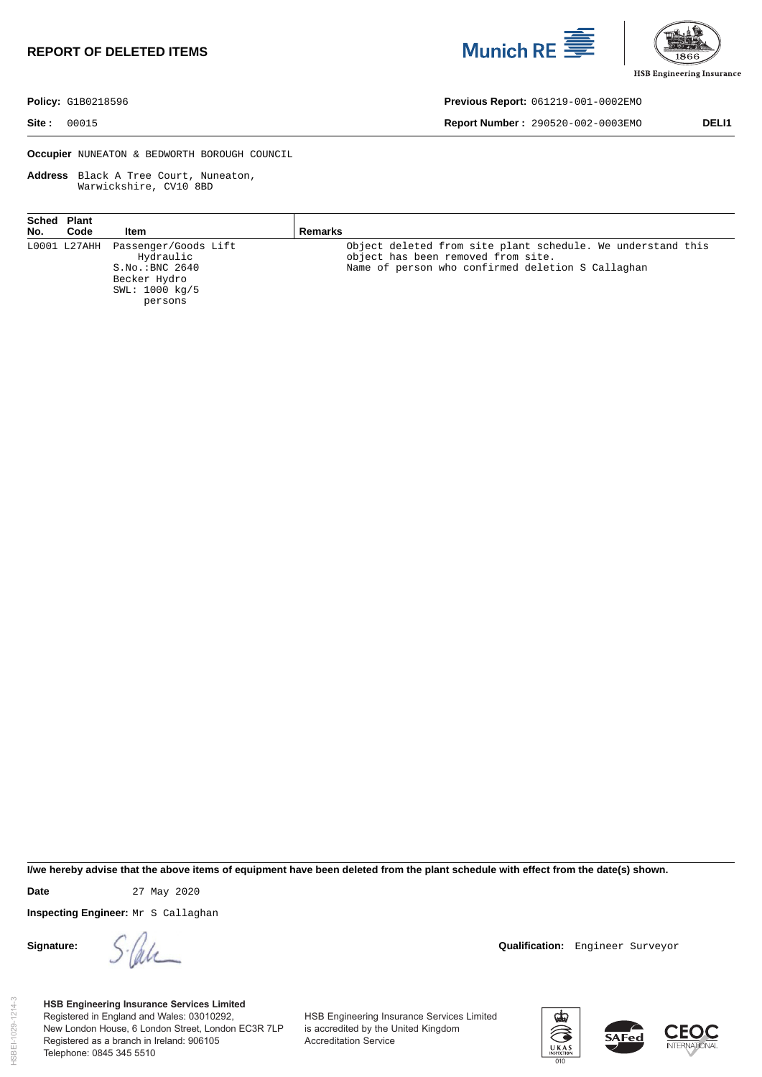# **REPORT OF DELETED ITEMS**





**Policy:** G1B0218596 **Previous Report:** 061219-001-0002EMO

**Site :** 00015 **Report Number :** 290520-002-0003EMO **DELI1** 

**Occupier** NUNEATON & BEDWORTH BOROUGH COUNCIL

**Address** Black A Tree Court, Nuneaton, Warwickshire, CV10 8BD

| No. | Sched Plant<br>Code | Item                                                                                                                     | Remarks                                                                                                                                                |
|-----|---------------------|--------------------------------------------------------------------------------------------------------------------------|--------------------------------------------------------------------------------------------------------------------------------------------------------|
|     |                     | L0001 L27AHH Passenger/Goods Lift<br>Hydraulic<br>S.NO.:BNC <sub>2640</sub><br>Becker Hydro<br>SWL: 1000 kg/5<br>persons | Object deleted from site plant schedule. We understand this<br>object has been removed from site.<br>Name of person who confirmed deletion S Callaghan |

**I/we hereby advise that the above items of equipment have been deleted from the plant schedule with effect from the date(s) shown.** 

HSBEI-1029-1214-3

ISBEI-1029-1214-3

**Date** 27 May 2020

**Inspecting Engineer:** Mr S Callaghan

**Signature:**  $\int \frac{f}{\sqrt{2\pi}} f(x) dx$  **Qualification:** Engineer Surveyor

**HSB Engineering Insurance Services Limited** Registered in England and Wales: 03010292, New London House, 6 London Street, London EC3R 7LP Registered as a branch in Ireland: 906105 Telephone: 0845 345 5510

HSB Engineering Insurance Services Limited is accredited by the United Kingdom Accreditation Service